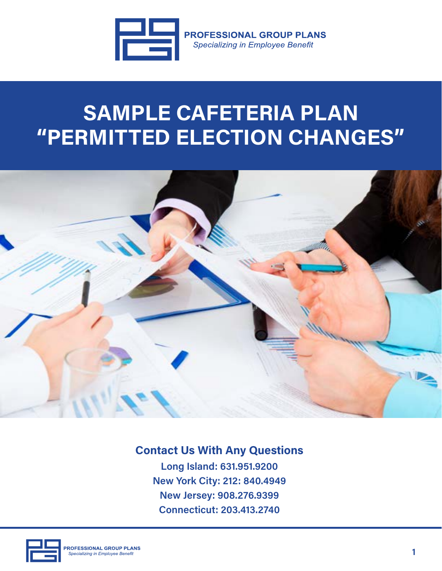

**PROFESSIONAL GROUP PLANS Specializing in Employee Benefit** 

## **SAMPLE CAFETERIA PLAN "PERMITTED ELECTION CHANGES"**



## **Contact Us With Any Questions**

**Long Island: 631.951.9200 New York City: 212: 840.4949 New Jersey: 908.276.9399 Connecticut: 203.413.2740**

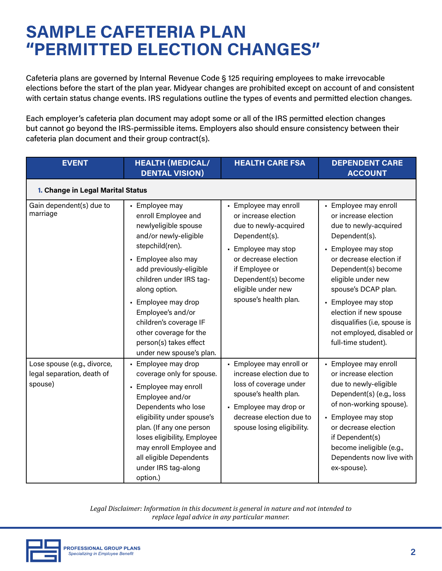## **SAMPLE CAFETERIA PLAN "PERMITTED ELECTION CHANGES"**

Cafeteria plans are governed by Internal Revenue Code § 125 requiring employees to make irrevocable elections before the start of the plan year. Midyear changes are prohibited except on account of and consistent with certain status change events. IRS regulations outline the types of events and permitted election changes.

Each employer's cafeteria plan document may adopt some or all of the IRS permitted election changes but cannot go beyond the IRS-permissible items. Employers also should ensure consistency between their cafeteria plan document and their group contract(s).

| <b>EVENT</b>                                                         | <b>HEALTH (MEDICAL/</b><br><b>DENTAL VISION)</b>                                                                                                                                                                                                                                                                                                              | <b>HEALTH CARE FSA</b>                                                                                                                                                                                                         | <b>DEPENDENT CARE</b><br><b>ACCOUNT</b>                                                                                                                                                                                                                                                                                                            |
|----------------------------------------------------------------------|---------------------------------------------------------------------------------------------------------------------------------------------------------------------------------------------------------------------------------------------------------------------------------------------------------------------------------------------------------------|--------------------------------------------------------------------------------------------------------------------------------------------------------------------------------------------------------------------------------|----------------------------------------------------------------------------------------------------------------------------------------------------------------------------------------------------------------------------------------------------------------------------------------------------------------------------------------------------|
| 1. Change in Legal Marital Status                                    |                                                                                                                                                                                                                                                                                                                                                               |                                                                                                                                                                                                                                |                                                                                                                                                                                                                                                                                                                                                    |
| Gain dependent(s) due to<br>marriage                                 | - Employee may<br>enroll Employee and<br>newlyeligible spouse<br>and/or newly-eligible<br>stepchild(ren).<br>- Employee also may<br>add previously-eligible<br>children under IRS tag-<br>along option.<br>- Employee may drop<br>Employee's and/or<br>children's coverage IF<br>other coverage for the<br>person(s) takes effect<br>under new spouse's plan. | - Employee may enroll<br>or increase election<br>due to newly-acquired<br>Dependent(s).<br>• Employee may stop<br>or decrease election<br>if Employee or<br>Dependent(s) become<br>eligible under new<br>spouse's health plan. | - Employee may enroll<br>or increase election<br>due to newly-acquired<br>Dependent(s).<br>• Employee may stop<br>or decrease election if<br>Dependent(s) become<br>eligible under new<br>spouse's DCAP plan.<br>• Employee may stop<br>election if new spouse<br>disqualifies (i.e, spouse is<br>not employed, disabled or<br>full-time student). |
| Lose spouse (e.g., divorce,<br>legal separation, death of<br>spouse) | - Employee may drop<br>coverage only for spouse.<br>- Employee may enroll<br>Employee and/or<br>Dependents who lose<br>eligibility under spouse's<br>plan. (If any one person<br>loses eligibility, Employee<br>may enroll Employee and<br>all eligible Dependents<br>under IRS tag-along<br>option.)                                                         | - Employee may enroll or<br>increase election due to<br>loss of coverage under<br>spouse's health plan.<br>- Employee may drop or<br>decrease election due to<br>spouse losing eligibility.                                    | - Employee may enroll<br>or increase election<br>due to newly-eligible<br>Dependent(s) (e.g., loss<br>of non-working spouse).<br>• Employee may stop<br>or decrease election<br>if Dependent(s)<br>become ineligible (e.g.,<br>Dependents now live with<br>ex-spouse).                                                                             |

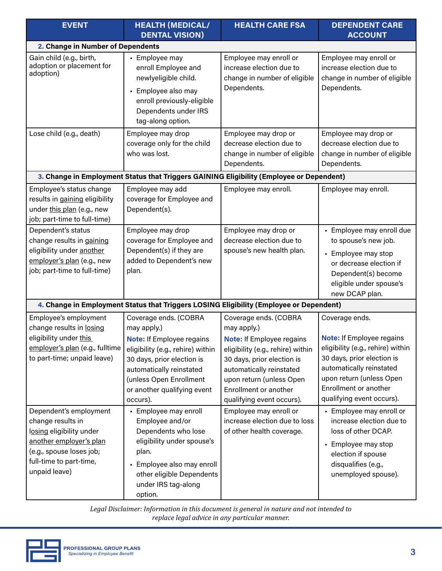| <b>EVENT</b>                                                                                                                                                               | <b>HEALTH (MEDICAL/</b><br><b>DENTAL VISION)</b>                                                                                                                                                                                              | <b>HEALTH CARE FSA</b>                                                                                                                                                                                                                                    | <b>DEPENDENT CARE</b><br><b>ACCOUNT</b>                                                                                                                                                                                             |
|----------------------------------------------------------------------------------------------------------------------------------------------------------------------------|-----------------------------------------------------------------------------------------------------------------------------------------------------------------------------------------------------------------------------------------------|-----------------------------------------------------------------------------------------------------------------------------------------------------------------------------------------------------------------------------------------------------------|-------------------------------------------------------------------------------------------------------------------------------------------------------------------------------------------------------------------------------------|
| 2. Change in Number of Dependents                                                                                                                                          |                                                                                                                                                                                                                                               |                                                                                                                                                                                                                                                           |                                                                                                                                                                                                                                     |
| Gain child (e.g., birth,<br>adoption or placement for<br>adoption)                                                                                                         | - Employee may<br>enroll Employee and<br>newlyeligible child.<br>- Employee also may<br>enroll previously-eligible<br>Dependents under IRS<br>tag-along option.                                                                               | Employee may enroll or<br>increase election due to<br>change in number of eligible<br>Dependents.                                                                                                                                                         | Employee may enroll or<br>increase election due to<br>change in number of eligible<br>Dependents.                                                                                                                                   |
| Lose child (e.g., death)                                                                                                                                                   | Employee may drop<br>coverage only for the child<br>who was lost.                                                                                                                                                                             | Employee may drop or<br>decrease election due to<br>change in number of eligible<br>Dependents.                                                                                                                                                           | Employee may drop or<br>decrease election due to<br>change in number of eligible<br>Dependents.                                                                                                                                     |
|                                                                                                                                                                            | 3. Change in Employment Status that Triggers GAINING Eligibility (Employee or Dependent)                                                                                                                                                      |                                                                                                                                                                                                                                                           |                                                                                                                                                                                                                                     |
| Employee's status change<br>results in gaining eligibility<br>under this plan (e.g., new<br>job; part-time to full-time)                                                   | Employee may add<br>coverage for Employee and<br>Dependent(s).                                                                                                                                                                                | Employee may enroll.                                                                                                                                                                                                                                      | Employee may enroll.                                                                                                                                                                                                                |
| Dependent's status<br>change results in gaining<br>eligibility under another<br>employer's plan (e.g., new<br>job; part-time to full-time)                                 | Employee may drop<br>coverage for Employee and<br>Dependent(s) if they are<br>added to Dependent's new<br>plan.                                                                                                                               | Employee may drop or<br>decrease election due to<br>spouse's new health plan.                                                                                                                                                                             | - Employee may enroll due<br>to spouse's new job.<br>• Employee may stop<br>or decrease election if<br>Dependent(s) become<br>eligible under spouse's<br>new DCAP plan.                                                             |
|                                                                                                                                                                            | 4. Change in Employment Status that Triggers LOSING Eligibility (Employee or Dependent)                                                                                                                                                       |                                                                                                                                                                                                                                                           |                                                                                                                                                                                                                                     |
| Employee's employment<br>change results in losing<br>eligibility under this<br>employer's plan (e.g., fulltime<br>to part-time; unpaid leave)                              | Coverage ends. (COBRA<br>may apply.)<br><b>Note: If Employee regains</b><br>eligibility (e.g., rehire) within<br>30 days, prior election is<br>automatically reinstated<br>(unless Open Enrollment<br>or another qualifying event<br>occurs). | Coverage ends. (COBRA<br>may apply.)<br><b>Note: If Employee regains</b><br>eligibility (e.g., rehire) within<br>30 days, prior election is<br>automatically reinstated<br>upon return (unless Open<br>Enrollment or another<br>qualifying event occurs). | Coverage ends.<br><b>Note: If Employee regains</b><br>eligibility (e.g., rehire) within<br>30 days, prior election is<br>automatically reinstated<br>upon return (unless Open<br>Enrollment or another<br>qualifying event occurs). |
| Dependent's employment<br>change results in<br>losing eligibility under<br>another employer's plan<br>(e.g., spouse loses job;<br>full-time to part-time,<br>unpaid leave) | - Employee may enroll<br>Employee and/or<br>Dependents who lose<br>eligibility under spouse's<br>plan.<br>• Employee also may enroll<br>other eligible Dependents<br>under IRS tag-along<br>option.                                           | Employee may enroll or<br>increase election due to loss<br>of other health coverage.                                                                                                                                                                      | - Employee may enroll or<br>increase election due to<br>loss of other DCAP.<br>• Employee may stop<br>election if spouse<br>disqualifies (e.g.,<br>unemployed spouse).                                                              |

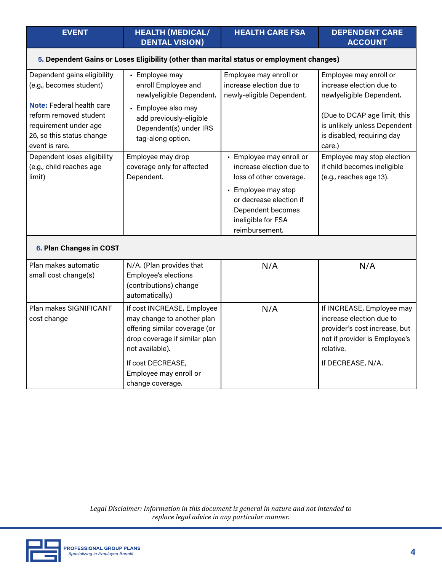| limit)                  | Dependent. | loss of other coverage.                        | (e.g., reaches age 13). |
|-------------------------|------------|------------------------------------------------|-------------------------|
|                         |            | • Employee may stop<br>or decrease election if |                         |
|                         |            | Dependent becomes                              |                         |
|                         |            | ineligible for FSA<br>reimbursement.           |                         |
| 6. Plan Changes in COST |            |                                                |                         |

| Plan makes automatic<br>small cost change(s) | N/A. (Plan provides that<br>Employee's elections<br>(contributions) change<br>automatically.)                                                                                                                    | N/A | N/A                                                                                                                                                       |
|----------------------------------------------|------------------------------------------------------------------------------------------------------------------------------------------------------------------------------------------------------------------|-----|-----------------------------------------------------------------------------------------------------------------------------------------------------------|
| Plan makes SIGNIFICANT<br>cost change        | If cost INCREASE, Employee<br>may change to another plan<br>offering similar coverage (or<br>drop coverage if similar plan<br>not available).<br>If cost DECREASE,<br>Employee may enroll or<br>change coverage. | N/A | If INCREASE, Employee may<br>increase election due to<br>provider's cost increase, but<br>not if provider is Employee's<br>relative.<br>If DECREASE, N/A. |



Employee may enroll or increase election due to newly-eligible Dependent.

• Employee may enroll or increase election due to Employee may enroll or increase election due to newlyeligible Dependent.

(Due to DCAP age limit, this is unlikely unless Dependent is disabled, requiring day

Employee may stop election if child becomes ineligible

care.)

## **5. Dependent Gains or Loses Eligibility (other than marital status or employment changes)**

**DENTAL VISION)**

enroll Employee and newlyeligible Dependent.

• Employee also may add previously-eligible Dependent(s) under IRS

tag-along option.

Employee may drop coverage only for affected

• Employee may

**EVENT HEALTH (MEDICAL/** 

Dependent gains eligibility (e.g., becomes student)

**Note:** Federal health care reform removed student requirement under age 26, so this status change

Dependent loses eligibility (e.g., child reaches age

event is rare.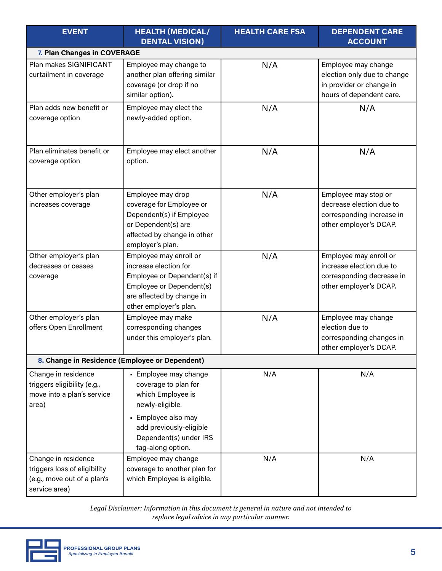| <b>EVENT</b>                                                                                        | <b>HEALTH (MEDICAL/</b><br><b>DENTAL VISION)</b>                                                                                                                  | <b>HEALTH CARE FSA</b> | <b>DEPENDENT CARE</b><br><b>ACCOUNT</b>                                                                    |  |  |
|-----------------------------------------------------------------------------------------------------|-------------------------------------------------------------------------------------------------------------------------------------------------------------------|------------------------|------------------------------------------------------------------------------------------------------------|--|--|
| 7. Plan Changes in COVERAGE                                                                         |                                                                                                                                                                   |                        |                                                                                                            |  |  |
| Plan makes SIGNIFICANT<br>curtailment in coverage                                                   | Employee may change to<br>another plan offering similar<br>coverage (or drop if no<br>similar option).                                                            | N/A                    | Employee may change<br>election only due to change<br>in provider or change in<br>hours of dependent care. |  |  |
| Plan adds new benefit or<br>coverage option                                                         | Employee may elect the<br>newly-added option.                                                                                                                     | N/A                    | N/A                                                                                                        |  |  |
| Plan eliminates benefit or<br>coverage option                                                       | Employee may elect another<br>option.                                                                                                                             | N/A                    | N/A                                                                                                        |  |  |
| Other employer's plan<br>increases coverage                                                         | Employee may drop<br>coverage for Employee or<br>Dependent(s) if Employee<br>or Dependent(s) are<br>affected by change in other<br>employer's plan.               | N/A                    | Employee may stop or<br>decrease election due to<br>corresponding increase in<br>other employer's DCAP.    |  |  |
| Other employer's plan<br>decreases or ceases<br>coverage                                            | Employee may enroll or<br>increase election for<br>Employee or Dependent(s) if<br>Employee or Dependent(s)<br>are affected by change in<br>other employer's plan. | N/A                    | Employee may enroll or<br>increase election due to<br>corresponding decrease in<br>other employer's DCAP.  |  |  |
| Other employer's plan<br>offers Open Enrollment                                                     | Employee may make<br>corresponding changes<br>under this employer's plan.                                                                                         | N/A                    | Employee may change<br>election due to<br>corresponding changes in<br>other employer's DCAP.               |  |  |
|                                                                                                     | 8. Change in Residence (Employee or Dependent)                                                                                                                    |                        |                                                                                                            |  |  |
| Change in residence<br>triggers eligibility (e.g.,<br>move into a plan's service<br>area)           | • Employee may change<br>coverage to plan for<br>which Employee is<br>newly-eligible.                                                                             | N/A                    | N/A                                                                                                        |  |  |
|                                                                                                     | • Employee also may<br>add previously-eligible<br>Dependent(s) under IRS<br>tag-along option.                                                                     |                        |                                                                                                            |  |  |
| Change in residence<br>triggers loss of eligibility<br>(e.g., move out of a plan's<br>service area) | Employee may change<br>coverage to another plan for<br>which Employee is eligible.                                                                                | N/A                    | N/A                                                                                                        |  |  |